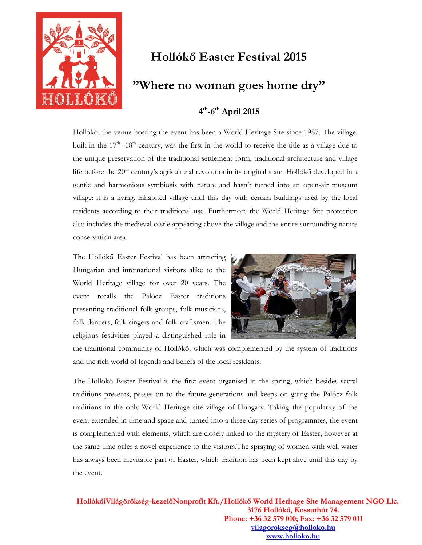

# **Hollókő Easter Festival 2015**

## **"Where no woman goes home dry"**

## **4 th-6th April 2015**

Hollókő, the venue hosting the event has been a World Heritage Site since 1987. The village, built in the 17<sup>th</sup> -18<sup>th</sup> century, was the first in the world to receive the title as a village due to the unique preservation of the traditional settlement form, traditional architecture and village life before the  $20<sup>th</sup>$  century's agricultural revolutionin its original state. Hollókő developed in a gentle and harmonious symbiosis with nature and hasn't turned into an open-air museum village: it is a living, inhabited village until this day with certain buildings used by the local residents according to their traditional use. Furthermore the World Heritage Site protection also includes the medieval castle appearing above the village and the entire surrounding nature conservation area.

The Hollókő Easter Festival has been attracting Hungarian and international visitors alike to the World Heritage village for over 20 years. The event recalls the Palócz Easter traditions presenting traditional folk groups, folk musicians, folk dancers, folk singers and folk craftsmen. The religious festivities played a distinguished role in



the traditional community of Hollókő, which was complemented by the system of traditions and the rich world of legends and beliefs of the local residents.

The Hollókő Easter Festival is the first event organised in the spring, which besides sacral traditions presents, passes on to the future generations and keeps on going the Palócz folk traditions in the only World Heritage site village of Hungary. Taking the popularity of the event extended in time and space and turned into a three-day series of programmes, the event is complemented with elements, which are closely linked to the mystery of Easter, however at the same time offer a novel experience to the visitors.The spraying of women with well water has always been inevitable part of Easter, which tradition has been kept alive until this day by the event.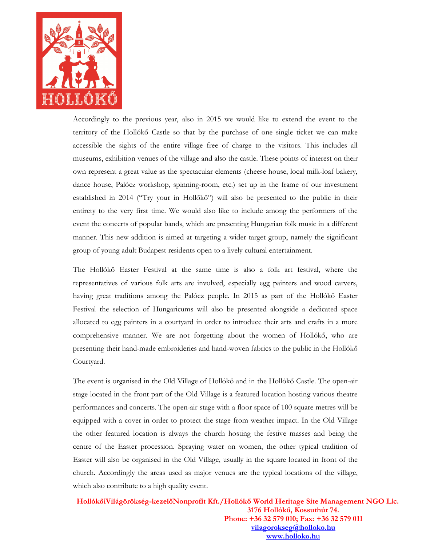

Accordingly to the previous year, also in 2015 we would like to extend the event to the territory of the Hollókő Castle so that by the purchase of one single ticket we can make accessible the sights of the entire village free of charge to the visitors. This includes all museums, exhibition venues of the village and also the castle. These points of interest on their own represent a great value as the spectacular elements (cheese house, local milk-loaf bakery, dance house, Palócz workshop, spinning-room, etc.) set up in the frame of our investment established in 2014 ("Try your in Hollőkő") will also be presented to the public in their entirety to the very first time. We would also like to include among the performers of the event the concerts of popular bands, which are presenting Hungarian folk music in a different manner. This new addition is aimed at targeting a wider target group, namely the significant group of young adult Budapest residents open to a lively cultural entertainment.

The Hollókő Easter Festival at the same time is also a folk art festival, where the representatives of various folk arts are involved, especially egg painters and wood carvers, having great traditions among the Palócz people. In 2015 as part of the Hollókő Easter Festival the selection of Hungaricums will also be presented alongside a dedicated space allocated to egg painters in a courtyard in order to introduce their arts and crafts in a more comprehensive manner. We are not forgetting about the women of Hollókő, who are presenting their hand-made embroideries and hand-woven fabrics to the public in the Hollókő Courtyard.

The event is organised in the Old Village of Hollókő and in the Hollókő Castle. The open-air stage located in the front part of the Old Village is a featured location hosting various theatre performances and concerts. The open-air stage with a floor space of 100 square metres will be equipped with a cover in order to protect the stage from weather impact. In the Old Village the other featured location is always the church hosting the festive masses and being the centre of the Easter procession. Spraying water on women, the other typical tradition of Easter will also be organised in the Old Village, usually in the square located in front of the church. Accordingly the areas used as major venues are the typical locations of the village, which also contribute to a high quality event.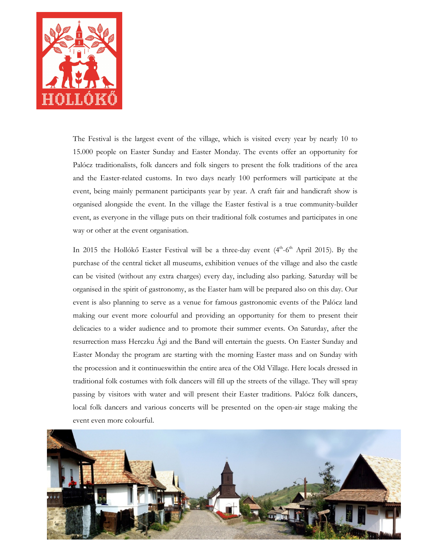

The Festival is the largest event of the village, which is visited every year by nearly 10 to 15.000 people on Easter Sunday and Easter Monday. The events offer an opportunity for Palócz traditionalists, folk dancers and folk singers to present the folk traditions of the area and the Easter-related customs. In two days nearly 100 performers will participate at the event, being mainly permanent participants year by year. A craft fair and handicraft show is organised alongside the event. In the village the Easter festival is a true community-builder event, as everyone in the village puts on their traditional folk costumes and participates in one way or other at the event organisation.

In 2015 the Hollókő Easter Festival will be a three-day event (4<sup>th</sup>-6<sup>th</sup> April 2015). By the purchase of the central ticket all museums, exhibition venues of the village and also the castle can be visited (without any extra charges) every day, including also parking. Saturday will be organised in the spirit of gastronomy, as the Easter ham will be prepared also on this day. Our event is also planning to serve as a venue for famous gastronomic events of the Palócz land making our event more colourful and providing an opportunity for them to present their delicacies to a wider audience and to promote their summer events. On Saturday, after the resurrection mass Herczku Ági and the Band will entertain the guests. On Easter Sunday and Easter Monday the program are starting with the morning Easter mass and on Sunday with the procession and it continueswithin the entire area of the Old Village. Here locals dressed in traditional folk costumes with folk dancers will fill up the streets of the village. They will spray passing by visitors with water and will present their Easter traditions. Palócz folk dancers, local folk dancers and various concerts will be presented on the open-air stage making the event even more colourful.

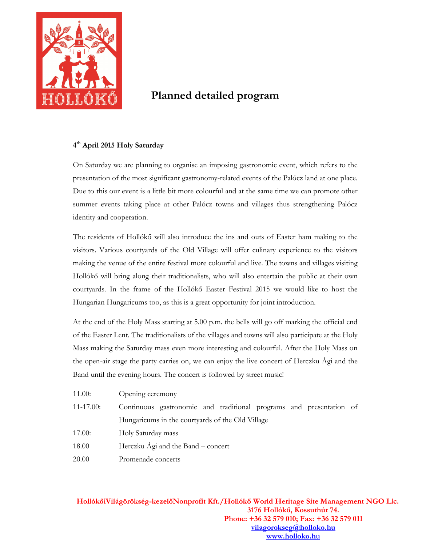

## **Planned detailed program**

#### **4 th April 2015 Holy Saturday**

On Saturday we are planning to organise an imposing gastronomic event, which refers to the presentation of the most significant gastronomy-related events of the Palócz land at one place. Due to this our event is a little bit more colourful and at the same time we can promote other summer events taking place at other Palócz towns and villages thus strengthening Palócz identity and cooperation.

The residents of Hollókő will also introduce the ins and outs of Easter ham making to the visitors. Various courtyards of the Old Village will offer culinary experience to the visitors making the venue of the entire festival more colourful and live. The towns and villages visiting Hollókő will bring along their traditionalists, who will also entertain the public at their own courtyards. In the frame of the Hollókő Easter Festival 2015 we would like to host the Hungarian Hungaricums too, as this is a great opportunity for joint introduction.

At the end of the Holy Mass starting at 5.00 p.m. the bells will go off marking the official end of the Easter Lent. The traditionalists of the villages and towns will also participate at the Holy Mass making the Saturday mass even more interesting and colourful. After the Holy Mass on the open-air stage the party carries on, we can enjoy the live concert of Herczku Ági and the Band until the evening hours. The concert is followed by street music!

11.00: Opening ceremony 11-17.00: Continuous gastronomic and traditional programs and presentation of Hungaricums in the courtyards of the Old Village 17.00: Holy Saturday mass 18.00 Herczku Ági and the Band – concert 20.00 Promenade concerts

 **HollókőiVilágörökség-kezelőNonprofit Kft./Hollókő World Heritage Site Management NGO Llc. 3176 Hollókő, Kossuthút 74. Phone: +36 32 579 010; Fax: +36 32 579 011 vilagorokseg@holloko.hu www.holloko.hu**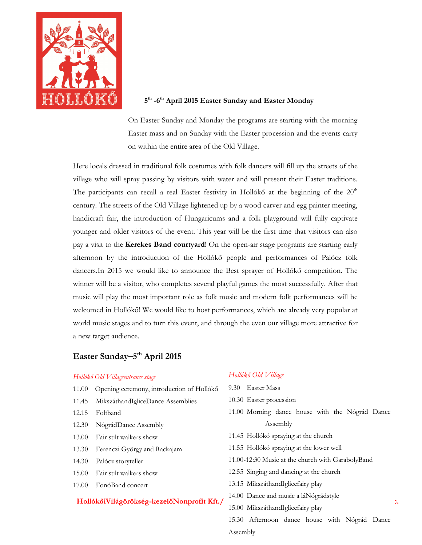

#### **5 th -6th April 2015 Easter Sunday and Easter Monday**

On Easter Sunday and Monday the programs are starting with the morning Easter mass and on Sunday with the Easter procession and the events carry on within the entire area of the Old Village.

Here locals dressed in traditional folk costumes with folk dancers will fill up the streets of the village who will spray passing by visitors with water and will present their Easter traditions. The participants can recall a real Easter festivity in Hollókő at the beginning of the  $20<sup>th</sup>$ century. The streets of the Old Village lightened up by a wood carver and egg painter meeting, handicraft fair, the introduction of Hungaricums and a folk playground will fully captivate younger and older visitors of the event. This year will be the first time that visitors can also pay a visit to the **Kerekes Band courtyard**! On the open-air stage programs are starting early afternoon by the introduction of the Hollókő people and performances of Palócz folk dancers.In 2015 we would like to announce the Best sprayer of Hollókő competition. The winner will be a visitor, who completes several playful games the most successfully. After that music will play the most important role as folk music and modern folk performances will be welcomed in Hollókő! We would like to host performances, which are already very popular at world music stages and to turn this event, and through the even our village more attractive for a new target audience.

### **Easter Sunday–5th April 2015**

#### *Hollókő Old Villageentrance stage*

- 11.00 Opening ceremony, introduction of Hollókő
- 11.45 MikszáthandIgliceDance Assemblies
- 12.15 Foltband
- 12.30 NógrádDance Assembly
- 13.00 Fair stilt walkers show
- 13.30 Ferenczi György and Rackajam
- 14.30 Palócz storyteller
- 15.00 Fair stilt walkers show
- 17.00 FonóBand concert

#### **HollókőiVilágörökség-kezelőNonprofit Kft./ HollókőiVilágörökség-kezelőNonprofit Kft.**/

#### *Hollókő Old Village*

- 9.30 Easter Mass
- 10.30 Easter procession
- 11.00 Morning dance house with the Nógrád Dance Assembly
- 11.45 Hollókő spraying at the church
- 11.55 Hollókő spraying at the lower well
- 11.00-12:30 Music at the church with GarabolyBand
- 12.55 Singing and dancing at the church
- 13.15 MikszáthandIglicefairy play
- 14.00 Dance and music a láNógrádstyle
- 15.00 MikszáthandIglicefairy play

15.30 Afternoon dance house with Nógrád Dance **vilagorokseg@holloko.hu** *with the mean international* Assembly